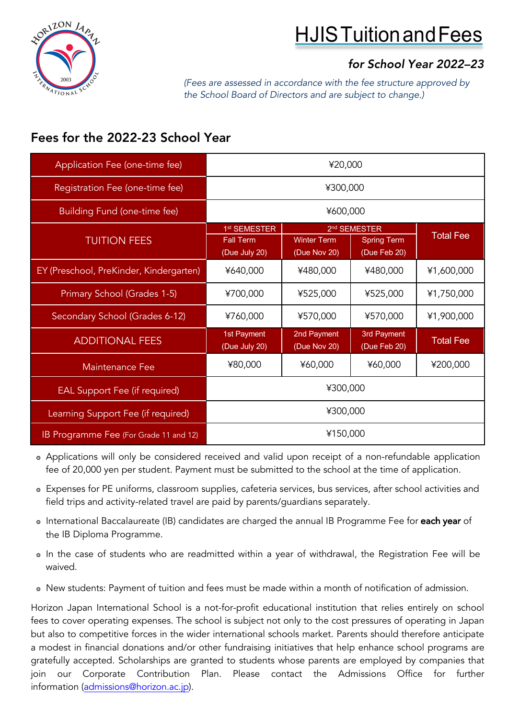



# *for School Year 2022–23*

*(Fees are assessed in accordance with the fee structure approved by the School Board of Directors and are subject to change.)*

# Fees for the 2022-23 School Year

| Application Fee (one-time fee)          | ¥20,000                                      |                             |                                                |                  |
|-----------------------------------------|----------------------------------------------|-----------------------------|------------------------------------------------|------------------|
| Registration Fee (one-time fee)         | ¥300,000                                     |                             |                                                |                  |
| Building Fund (one-time fee)            | ¥600,000                                     |                             |                                                |                  |
| <b>TUITION FEES</b>                     | 1 <sup>st</sup> SEMESTER<br><b>Fall Term</b> | <b>Winter Term</b>          | 2 <sup>nd</sup> SEMESTER<br><b>Spring Term</b> | <b>Total Fee</b> |
|                                         | (Due July 20)                                | (Due Nov 20)                | (Due Feb 20)                                   |                  |
| EY (Preschool, PreKinder, Kindergarten) | ¥640,000                                     | ¥480,000                    | ¥480,000                                       | ¥1,600,000       |
| Primary School (Grades 1-5)             | ¥700,000                                     | ¥525,000                    | ¥525,000                                       | ¥1,750,000       |
| Secondary School (Grades 6-12)          | ¥760,000                                     | ¥570,000                    | ¥570,000                                       | ¥1,900,000       |
| <b>ADDITIONAL FEES</b>                  | 1st Payment<br>(Due July 20)                 | 2nd Payment<br>(Due Nov 20) | 3rd Payment<br>(Due Feb 20)                    | <b>Total Fee</b> |
| <b>Maintenance Fee</b>                  | ¥80,000                                      | ¥60,000                     | ¥60,000                                        | ¥200,000         |
| <b>EAL Support Fee (if required)</b>    | ¥300,000                                     |                             |                                                |                  |
| Learning Support Fee (if required)      | ¥300,000                                     |                             |                                                |                  |
| IB Programme Fee (For Grade 11 and 12)  | ¥150,000                                     |                             |                                                |                  |

- ๏ Applications will only be considered received and valid upon receipt of a non-refundable application fee of 20,000 yen per student. Payment must be submitted to the school at the time of application.
- ๏ Expenses for PE uniforms, classroom supplies, cafeteria services, bus services, after school activities and field trips and activity-related travel are paid by parents/guardians separately.
- o International Baccalaureate (IB) candidates are charged the annual IB Programme Fee for each year of the IB Diploma Programme.
- ๏ In the case of students who are readmitted within a year of withdrawal, the Registration Fee will be waived.
- ๏ New students: Payment of tuition and fees must be made within a month of notification of admission.

Horizon Japan International School is a not-for-profit educational institution that relies entirely on school fees to cover operating expenses. The school is subject not only to the cost pressures of operating in Japan but also to competitive forces in the wider international schools market. Parents should therefore anticipate a modest in financial donations and/or other fundraising initiatives that help enhance school programs are gratefully accepted. Scholarships are granted to students whose parents are employed by companies that join our Corporate Contribution Plan. Please contact the Admissions Office for further information (admissions@horizon.ac.jp).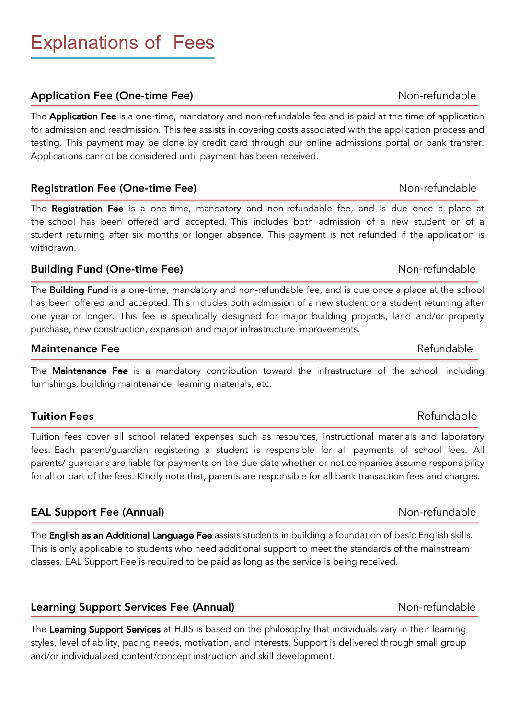# Explanations of Fees

# Application Fee (One-time Fee) Non-refundable

The **Application Fee** is a one-time, mandatory and non-refundable fee and is paid at the time of application for admission and readmission. This fee assists in covering costs associated with the application process and testing. This payment may be done by credit card through our online admissions portal or bank transfer. Applications cannot be considered until payment has been received.

# Registration Fee (One-time Fee) Non-refundable

The Registration Fee is a one-time, mandatory and non-refundable fee, and is due once a place at the school has been offered and accepted. This includes both admission of a new student or of a student returning after six months or longer absence. This payment is not refunded if the application is withdrawn.

# **Building Fund (One-time Fee)** Non-refundable

The **Building Fund** is a one-time, mandatory and non-refundable fee, and is due once a place at the school has been offered and accepted. This includes both admission of a new student or a student returning after one year or longer. This fee is specifically designed for major building projects, land and/or property purchase, new construction, expansion and major infrastructure improvements.

### Maintenance Fee Refundable

The **Maintenance Fee** is a mandatory contribution toward the infrastructure of the school, including furnishings, building maintenance, learning materials, etc.

# **Tuition Fees** Refundable

Tuition fees cover all school related expenses such as resources, instructional materials and laboratory fees. Each parent/guardian registering a student is responsible for all payments of school fees. All parents/ guardians are liable for payments on the due date whether or not companies assume responsibility for all or part of the fees. Kindly note that, parents are responsible for all bank transaction fees and charges.

# EAL Support Fee (Annual) and the contract of the Non-refundable

The English as an Additional Language Fee assists students in building a foundation of basic English skills. This is only applicable to students who need additional support to meet the standards of the mainstream classes. EAL Support Fee is required to be paid as long as the service is being received.

# Learning Support Services Fee (Annual) Mon-refundable

The Learning Support Services at HJIS is based on the philosophy that individuals vary in their learning styles, level of ability, pacing needs, motivation, and interests. Support is delivered through small group and/or individualized content/concept instruction and skill development.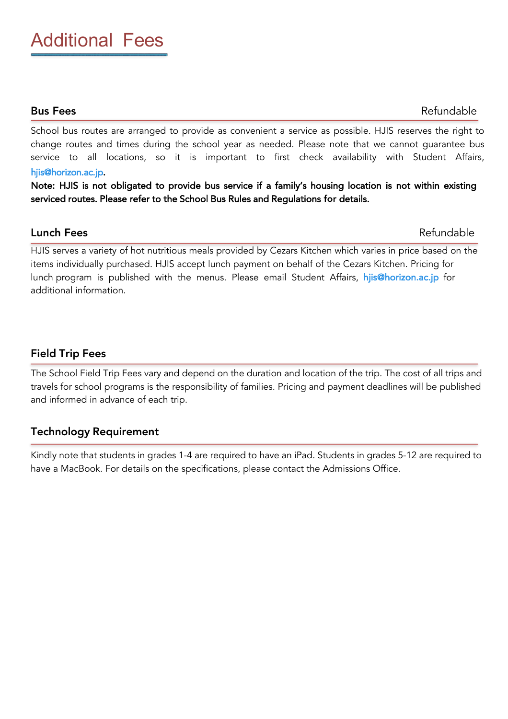School bus routes are arranged to provide as convenient a service as possible. HJIS reserves the right to change routes and times during the school year as needed. Please note that we cannot guarantee bus service to all locations, so it is important to first check availability with Student Affairs, hjis@horizon.ac.jp.

Note: HJIS is not obligated to provide bus service if a family's housing location is not within existing serviced routes. Please refer to the School Bus Rules and Regulations for details.

# **Lunch Fees** Refundable

HJIS serves a variety of hot nutritious meals provided by Cezars Kitchen which varies in price based on the items individually purchased. HJIS accept lunch payment on behalf of the Cezars Kitchen. Pricing for lunch program is published with the menus. Please email Student Affairs, hjis@horizon.ac.jp for additional information.

# Field Trip Fees

The School Field Trip Fees vary and depend on the duration and location of the trip. The cost of all trips and travels for school programs is the responsibility of families. Pricing and payment deadlines will be published and informed in advance of each trip.

# Technology Requirement

Kindly note that students in grades 1-4 are required to have an iPad. Students in grades 5-12 are required to have a MacBook. For details on the specifications, please contact the Admissions Office.

# **Bus Fees** Refundable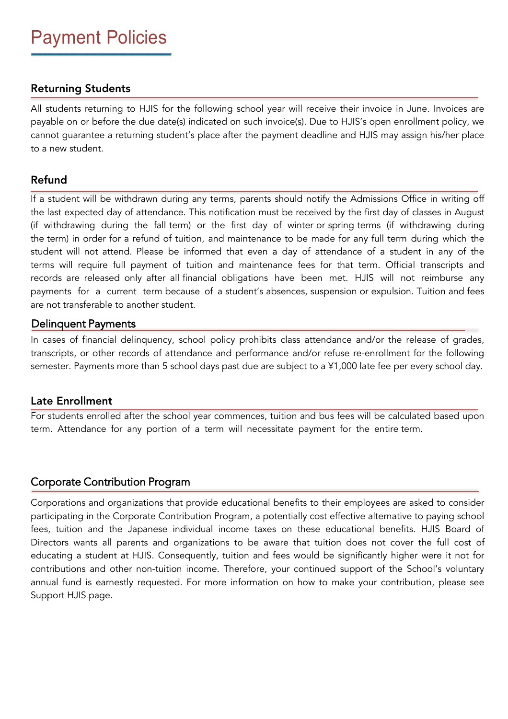# Returning Students

All students returning to HJIS for the following school year will receive their invoice in June. Invoices are payable on or before the due date(s) indicated on such invoice(s). Due to HJIS's open enrollment policy, we cannot guarantee a returning student's place after the payment deadline and HJIS may assign his/her place to a new student.

### Refund

If a student will be withdrawn during any terms, parents should notify the Admissions Office in writing off the last expected day of attendance. This notification must be received by the first day of classes in August (if withdrawing during the fall term) or the first day of winter or spring terms (if withdrawing during the term) in order for a refund of tuition, and maintenance to be made for any full term during which the student will not attend. Please be informed that even a day of attendance of a student in any of the terms will require full payment of tuition and maintenance fees for that term. Official transcripts and records are released only after all financial obligations have been met. HJIS will not reimburse any payments for a current term because of a student's absences, suspension or expulsion. Tuition and fees are not transferable to another student.

### Delinquent Payments

In cases of financial delinquency, school policy prohibits class attendance and/or the release of grades, transcripts, or other records of attendance and performance and/or refuse re-enrollment for the following semester. Payments more than 5 school days past due are subject to a ¥1,000 late fee per every school day.

### Late Enrollment

For students enrolled after the school year commences, tuition and bus fees will be calculated based upon term. Attendance for any portion of a term will necessitate payment for the entire term.

# Corporate Contribution Program

Corporations and organizations that provide educational benefits to their employees are asked to consider participating in the Corporate Contribution Program, a potentially cost effective alternative to paying school fees, tuition and the Japanese individual income taxes on these educational benefits. HJIS Board of Directors wants all parents and organizations to be aware that tuition does not cover the full cost of educating a student at HJIS. Consequently, tuition and fees would be significantly higher were it not for contributions and other non-tuition income. Therefore, your continued support of the School's voluntary annual fund is earnestly requested. For more information on how to make your contribution, please see Support HJIS page.